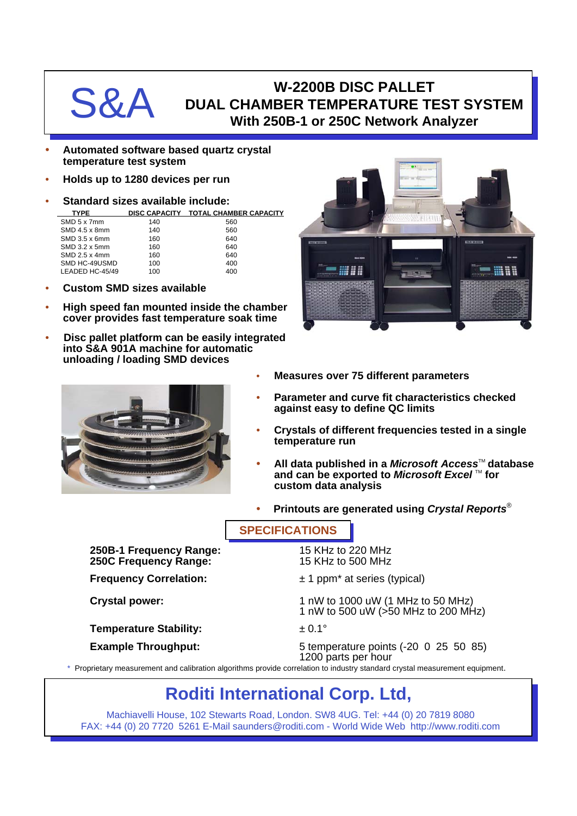## W-2200B DISC PALLET<br>DUAL CHAMBER TEMPERATURE TINNER TO USE With 250B-1 or 250C Network A **DUAL CHAMBER TEMPERATURE TEST SYSTEM With 250B-1 or 250C Network Analyzer**

- **Automated software based quartz crystal temperature test system**
- **Holds up to 1280 devices per run**
- **Standard sizes available include:**

| <b>TYPE</b> | DISC CAPACITY TOTAL CHAMBER CAPACITY |
|-------------|--------------------------------------|
|             |                                      |

| SMD 5 x 7mm     | 140 | 560 |  |
|-----------------|-----|-----|--|
| SMD 4.5 x 8mm   | 140 | 560 |  |
| $SMD$ 3.5 x 6mm | 160 | 640 |  |
| SMD 3.2 x 5mm   | 160 | 640 |  |
| $SMD$ 2.5 x 4mm | 160 | 640 |  |
| SMD HC-49USMD   | 100 | 400 |  |
| LEADED HC-45/49 | 100 | 400 |  |
|                 |     |     |  |

- **Custom SMD sizes available**
- **High speed fan mounted inside the chamber cover provides fast temperature soak time**
- **Disc pallet platform can be easily integrated into S&A 901A machine for automatic unloading / loading SMD devices**





- **Measures over 75 different parameters**
- **Parameter and curve fit characteristics checked against easy to define QC limits**
- **Crystals of different frequencies tested in a single temperature run**
- **All data published in a** *Microsoft Access***™ database** and can be exported to *Microsoft Excel* ™ for **custom data analysis**
- **Printouts are generated using** *Crystal Reports*®

**SPECIFICATIONS**

**250B-1 Frequency Range:** 15 KHz to 220 MHz **250C Frequency Range:** 15 KHz to 500 MHz

**Temperature Stability:**  $\qquad \qquad \pm 0.1^{\circ}$ 

- **Frequency Correlation:**  $\pm 1$  ppm<sup>\*</sup> at series (typical)
- **Crystal power:** 1 nW to 1000 uW (1 MHz to 50 MHz) 1 nW to 500 uW (>50 MHz to 200 MHz)
	-
- **Example Throughput:** 5 temperature points (-20 0 25 50 85) 1200 parts per hour

\* Proprietary measurement and calibration algorithms provide correlation to industry standard crystal measurement equipment.

## **Roditi International Corp. Ltd,**

Machiavelli House, 102 Stewarts Road, London. SW8 4UG. Tel: +44 (0) 20 7819 8080 FAX: +44 (0) 20 7720 5261 E-Mail saunders@roditi.com - World Wide Web http://www.roditi.com